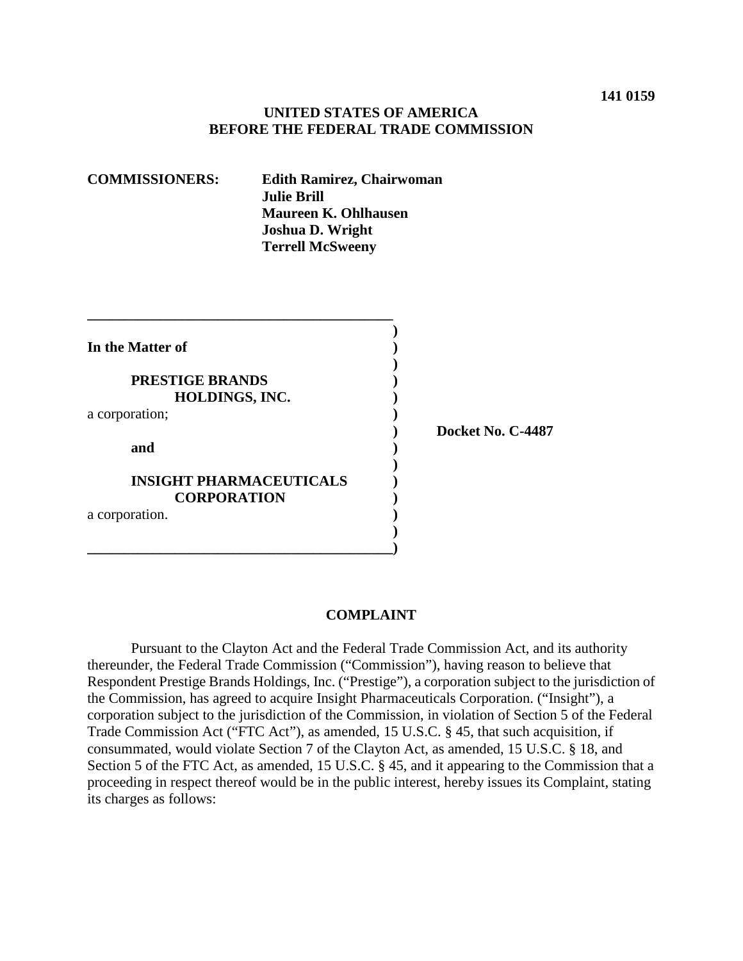#### **UNITED STATES OF AMERICA BEFORE THE FEDERAL TRADE COMMISSION**

| <b>COMMISSIONERS:</b>                                | <b>Edith Ramirez, Chairwoman</b><br><b>Julie Brill</b><br><b>Maureen K. Ohlhausen</b><br>Joshua D. Wright<br><b>Terrell McSweeny</b> |  |                   |
|------------------------------------------------------|--------------------------------------------------------------------------------------------------------------------------------------|--|-------------------|
|                                                      |                                                                                                                                      |  |                   |
| In the Matter of                                     |                                                                                                                                      |  |                   |
| <b>PRESTIGE BRANDS</b><br>HOLDINGS, INC.             |                                                                                                                                      |  |                   |
| a corporation;                                       |                                                                                                                                      |  | Docket No. C-4487 |
| and                                                  |                                                                                                                                      |  |                   |
| <b>INSIGHT PHARMACEUTICALS</b><br><b>CORPORATION</b> |                                                                                                                                      |  |                   |
| a corporation.                                       |                                                                                                                                      |  |                   |

#### **COMPLAINT**

Pursuant to the Clayton Act and the Federal Trade Commission Act, and its authority thereunder, the Federal Trade Commission ("Commission"), having reason to believe that Respondent Prestige Brands Holdings, Inc. ("Prestige"), a corporation subject to the jurisdiction of the Commission, has agreed to acquire Insight Pharmaceuticals Corporation. ("Insight"), a corporation subject to the jurisdiction of the Commission, in violation of Section 5 of the Federal Trade Commission Act ("FTC Act"), as amended, 15 U.S.C. § 45, that such acquisition, if consummated, would violate Section 7 of the Clayton Act, as amended, 15 U.S.C. § 18, and Section 5 of the FTC Act, as amended, 15 U.S.C. § 45, and it appearing to the Commission that a proceeding in respect thereof would be in the public interest, hereby issues its Complaint, stating its charges as follows: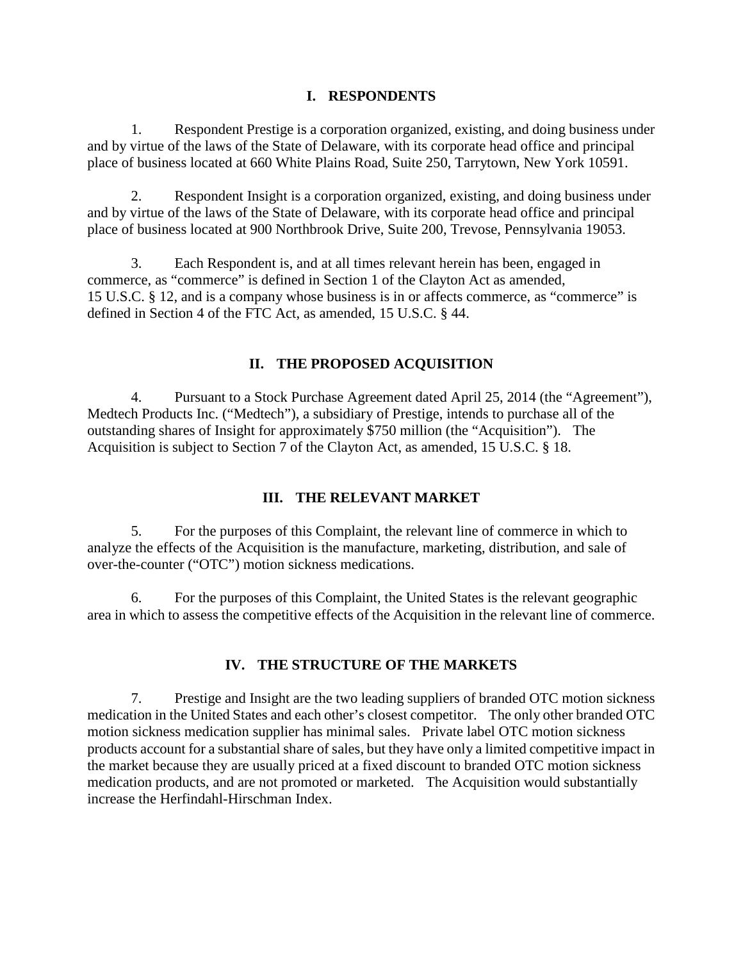#### **I. RESPONDENTS**

1. Respondent Prestige is a corporation organized, existing, and doing business under and by virtue of the laws of the State of Delaware, with its corporate head office and principal place of business located at 660 White Plains Road, Suite 250, Tarrytown, New York 10591.

2. Respondent Insight is a corporation organized, existing, and doing business under and by virtue of the laws of the State of Delaware, with its corporate head office and principal place of business located at 900 Northbrook Drive, Suite 200, Trevose, Pennsylvania 19053.

3. Each Respondent is, and at all times relevant herein has been, engaged in commerce, as "commerce" is defined in Section 1 of the Clayton Act as amended, 15 U.S.C. § 12, and is a company whose business is in or affects commerce, as "commerce" is defined in Section 4 of the FTC Act, as amended, 15 U.S.C. § 44.

# **II. THE PROPOSED ACQUISITION**

4. Pursuant to a Stock Purchase Agreement dated April 25, 2014 (the "Agreement"), Medtech Products Inc. ("Medtech"), a subsidiary of Prestige, intends to purchase all of the outstanding shares of Insight for approximately \$750 million (the "Acquisition"). The Acquisition is subject to Section 7 of the Clayton Act, as amended, 15 U.S.C. § 18.

## **III. THE RELEVANT MARKET**

5. For the purposes of this Complaint, the relevant line of commerce in which to analyze the effects of the Acquisition is the manufacture, marketing, distribution, and sale of over-the-counter ("OTC") motion sickness medications.

6. For the purposes of this Complaint, the United States is the relevant geographic area in which to assess the competitive effects of the Acquisition in the relevant line of commerce.

## **IV. THE STRUCTURE OF THE MARKETS**

7. Prestige and Insight are the two leading suppliers of branded OTC motion sickness medication in the United States and each other's closest competitor. The only other branded OTC motion sickness medication supplier has minimal sales. Private label OTC motion sickness products account for a substantial share of sales, but they have only a limited competitive impact in the market because they are usually priced at a fixed discount to branded OTC motion sickness medication products, and are not promoted or marketed. The Acquisition would substantially increase the Herfindahl-Hirschman Index.